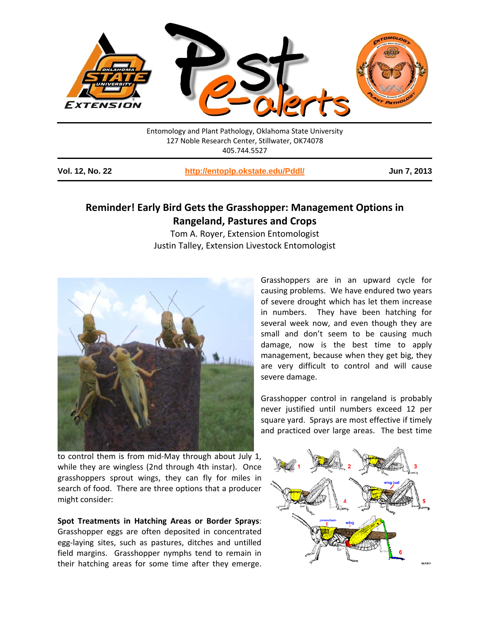

Entomology and Plant Pathology, Oklahoma State University 127 Noble Research Center, Stillwater, OK74078 405.744.5527

**Vol. 12, No. 22 <http://entoplp.okstate.edu/Pddl/> Jun 7, 2013**

## **Reminder! Early Bird Gets the Grasshopper: Management Options in Rangeland, Pastures and Crops**

Tom A. Royer, Extension Entomologist Justin Talley, Extension Livestock Entomologist



Grasshoppers are in an upward cycle for causing problems. We have endured two years of severe drought which has let them increase in numbers. They have been hatching for several week now, and even though they are small and don't seem to be causing much damage, now is the best time to apply management, because when they get big, they are very difficult to control and will cause severe damage.

Grasshopper control in rangeland is probably never justified until numbers exceed 12 per square yard. Sprays are most effective if timely and practiced over large areas. The best time

to control them is from mid-May through about July 1, while they are wingless (2nd through 4th instar). Once grasshoppers sprout wings, they can fly for miles in search of food. There are three options that a producer might consider:

**Spot Treatments in Hatching Areas or Border Sprays**:

Grasshopper eggs are often deposited in concentrated egg-laying sites, such as pastures, ditches and untilled field margins. Grasshopper nymphs tend to remain in their hatching areas for some time after they emerge.